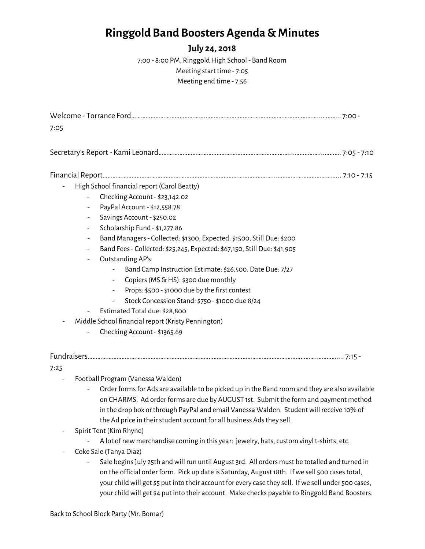## **Ringgold Band Boosters Agenda & Minutes**

## **July 24, 2018**

7:00 - 8:00 PM, Ringgold High School - Band Room Meeting start time - 7:05 Meeting end time - 7:56

| 7:05 |                          |                                                                                                                                                                                                                                                                                  |  |
|------|--------------------------|----------------------------------------------------------------------------------------------------------------------------------------------------------------------------------------------------------------------------------------------------------------------------------|--|
|      |                          |                                                                                                                                                                                                                                                                                  |  |
|      |                          |                                                                                                                                                                                                                                                                                  |  |
|      |                          | High School financial report (Carol Beatty)                                                                                                                                                                                                                                      |  |
|      |                          | Checking Account - \$23,142.02                                                                                                                                                                                                                                                   |  |
|      | ۰                        | PayPal Account - \$12,558.78                                                                                                                                                                                                                                                     |  |
|      |                          | Savings Account - \$250.02                                                                                                                                                                                                                                                       |  |
|      | -                        | Scholarship Fund - \$1,277.86                                                                                                                                                                                                                                                    |  |
|      | -                        | Band Managers - Collected: \$1300, Expected: \$1500, Still Due: \$200                                                                                                                                                                                                            |  |
|      | $\overline{\phantom{a}}$ | Band Fees - Collected: \$25,245, Expected: \$67,150, Still Due: \$41,905                                                                                                                                                                                                         |  |
|      |                          | Outstanding AP's:                                                                                                                                                                                                                                                                |  |
|      |                          | Band Camp Instruction Estimate: \$26,500, Date Due: 7/27                                                                                                                                                                                                                         |  |
|      |                          | Copiers (MS & HS): \$300 due monthly<br>$\overline{\phantom{a}}$                                                                                                                                                                                                                 |  |
|      |                          | Props: \$500 - \$1000 due by the first contest<br>۰                                                                                                                                                                                                                              |  |
|      |                          | Stock Concession Stand: \$750 - \$1000 due 8/24                                                                                                                                                                                                                                  |  |
|      |                          | Estimated Total due: \$28,800                                                                                                                                                                                                                                                    |  |
|      |                          | Middle School financial report (Kristy Pennington)                                                                                                                                                                                                                               |  |
|      |                          | Checking Account - \$1365.69                                                                                                                                                                                                                                                     |  |
|      |                          |                                                                                                                                                                                                                                                                                  |  |
| 7:25 |                          |                                                                                                                                                                                                                                                                                  |  |
|      |                          | Football Program (Vanessa Walden)                                                                                                                                                                                                                                                |  |
|      |                          | Order forms for Ads are available to be picked up in the Band room and they are also available<br>on CHARMS. Ad order forms are due by AUGUST 1st. Submit the form and payment method<br>in the drop box or through PayPal and email Vanessa Walden. Student will receive 10% of |  |

- the Ad price in their student account for all business Ads they sell.
- Spirit Tent (Kim Rhyne)
	- A lot of new merchandise coming in this year: jewelry, hats, custom vinyl t-shirts, etc.
- Coke Sale (Tanya Diaz)
	- Sale beginsJuly 25th andwill run until August 3rd. All orders must be totalled and turned in on the official order form. Pick up date is Saturday, August 18th. If we sell 500 cases total, your child will get \$5 put into their account for every case they sell. If we sell under 500 cases, your child will get \$4 put into their account. Make checks payable to Ringgold Band Boosters.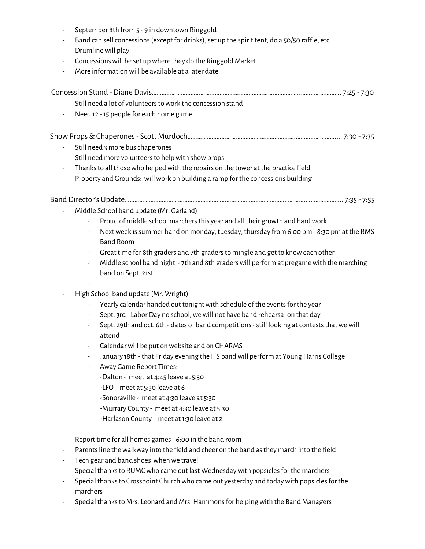|                          | September 8th from 5 - 9 in downtown Ringgold                                                                        |  |  |  |  |
|--------------------------|----------------------------------------------------------------------------------------------------------------------|--|--|--|--|
|                          | Band can sell concessions (except for drinks), set up the spirit tent, do a 50/50 raffle, etc.<br>Drumline will play |  |  |  |  |
| -                        |                                                                                                                      |  |  |  |  |
|                          | Concessions will be set up where they do the Ringgold Market                                                         |  |  |  |  |
| -                        | More information will be available at a later date                                                                   |  |  |  |  |
|                          |                                                                                                                      |  |  |  |  |
|                          | Still need a lot of volunteers to work the concession stand                                                          |  |  |  |  |
|                          | Need 12 - 15 people for each home game                                                                               |  |  |  |  |
|                          |                                                                                                                      |  |  |  |  |
|                          |                                                                                                                      |  |  |  |  |
|                          | Still need 3 more bus chaperones                                                                                     |  |  |  |  |
|                          | Still need more volunteers to help with show props                                                                   |  |  |  |  |
| $\overline{\phantom{a}}$ | Thanks to all those who helped with the repairs on the tower at the practice field                                   |  |  |  |  |
|                          | Property and Grounds: will work on building a ramp for the concessions building                                      |  |  |  |  |
|                          |                                                                                                                      |  |  |  |  |
|                          | Middle School band update (Mr. Garland)                                                                              |  |  |  |  |
|                          | Proud of middle school marchers this year and all their growth and hard work                                         |  |  |  |  |
|                          | Next week is summer band on monday, tuesday, thursday from 6:00 pm - 8:30 pm at the RMS                              |  |  |  |  |
|                          | <b>Band Room</b>                                                                                                     |  |  |  |  |
|                          | Great time for 8th graders and 7th graders to mingle and get to know each other                                      |  |  |  |  |
|                          | Middle school band night - 7th and 8th graders will perform at pregame with the marching<br>$\overline{\phantom{a}}$ |  |  |  |  |
|                          | band on Sept. 21st                                                                                                   |  |  |  |  |
|                          |                                                                                                                      |  |  |  |  |
|                          | High School band update (Mr. Wright)                                                                                 |  |  |  |  |
|                          | Yearly calendar handed out tonight with schedule of the events for the year                                          |  |  |  |  |
|                          | Sept. 3rd - Labor Day no school, we will not have band rehearsal on that day                                         |  |  |  |  |
|                          | Sept. 29th and oct. 6th - dates of band competitions - still looking at contests that we will<br>attend              |  |  |  |  |
|                          | Calendar will be put on website and on CHARMS                                                                        |  |  |  |  |
|                          | January 18th - that Friday evening the HS band will perform at Young Harris College                                  |  |  |  |  |
|                          | Away Game Report Times:                                                                                              |  |  |  |  |
|                          | -Dalton - meet at 4:45 leave at 5:30                                                                                 |  |  |  |  |
|                          | -LFO - meet at 5:30 leave at 6                                                                                       |  |  |  |  |
|                          | -Sonoraville - meet at 4:30 leave at 5:30                                                                            |  |  |  |  |
|                          | -Murrary County - meet at 4:30 leave at 5:30                                                                         |  |  |  |  |
|                          | -Harlason County - meet at 1:30 leave at 2                                                                           |  |  |  |  |
|                          | Report time for all homes games - 6:00 in the band room                                                              |  |  |  |  |
|                          | Parents line the walkway into the field and cheer on the band as they march into the field                           |  |  |  |  |
|                          | Tech gear and band shoes when we travel                                                                              |  |  |  |  |
|                          | Special thanks to RUMC who came out last Wednesday with popsicles for the marchers                                   |  |  |  |  |
|                          |                                                                                                                      |  |  |  |  |

- Special thanks to Crosspoint Church who came out yesterday and today with popsicles for the marchers
- Special thanks to Mrs. Leonard and Mrs. Hammons for helping with the Band Managers